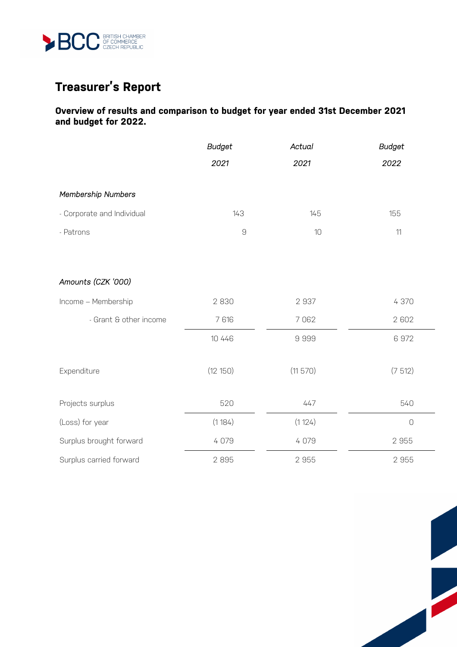

# **Treasurer's Report**

## **Overview of results and comparison to budget for year ended 31st December 2021 and budget for 2022.**

|                            | <b>Budget</b><br>2021 | Actual<br>2021 | <b>Budget</b><br>2022 |
|----------------------------|-----------------------|----------------|-----------------------|
|                            |                       |                |                       |
| Membership Numbers         |                       |                |                       |
| - Corporate and Individual | 143                   | 145            | 155                   |
| - Patrons                  | $\mathcal G$          | 10             | $11$                  |
|                            |                       |                |                       |
| Amounts (CZK '000)         |                       |                |                       |
| Income - Membership        | 2830                  | 2937           | 4 370                 |
| - Grant & other income     | 7 616                 | 7062           | 2 602                 |
|                            | 10 4 4 6              | 9999           | 6972                  |
| Expenditure                | (12 150)              | (11 570)       | (7512)                |
| Projects surplus           | 520                   | 447            | 540                   |
| (Loss) for year            | (1184)                | (1124)         | $\circ$               |
| Surplus brought forward    | 4 0 7 9               | 4 0 7 9        | 2 9 5 5               |
| Surplus carried forward    | 2895                  | 2955           | 2 9 5 5               |